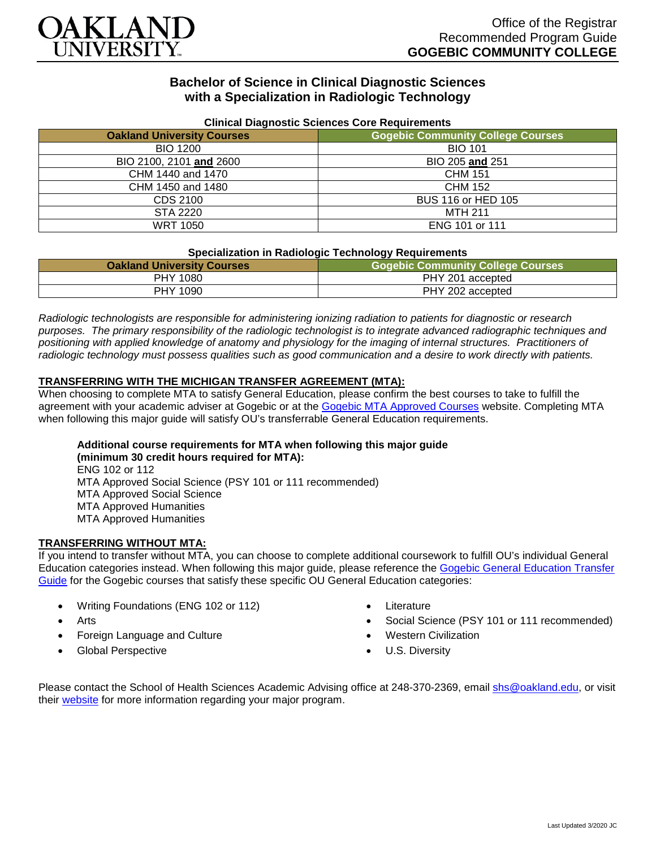

## **Bachelor of Science in Clinical Diagnostic Sciences with a Specialization in Radiologic Technology**

| Uninual Diagnostic Ociclices Obic Requirements |                                          |
|------------------------------------------------|------------------------------------------|
| <b>Oakland University Courses</b>              | <b>Gogebic Community College Courses</b> |
| <b>BIO 1200</b>                                | <b>BIO 101</b>                           |
| BIO 2100, 2101 and 2600                        | BIO 205 and 251                          |
| CHM 1440 and 1470                              | <b>CHM 151</b>                           |
| CHM 1450 and 1480                              | <b>CHM 152</b>                           |
| CDS 2100                                       | BUS 116 or HED 105                       |
| STA 2220                                       | MTH 211                                  |
| <b>WRT 1050</b>                                | ENG 101 or 111                           |

#### **Clinical Diagnostic Sciences Core Requirements**

### **Specialization in Radiologic Technology Requirements**

| <b>Oakland University Courses</b> | <b>Gogebic Community College Courses</b> |
|-----------------------------------|------------------------------------------|
| <b>PHY 1080</b>                   | PHY 201 accepted                         |
| PHY 1090                          | PHY 202 accepted                         |

*Radiologic technologists are responsible for administering ionizing radiation to patients for diagnostic or research purposes. The primary responsibility of the radiologic technologist is to integrate advanced radiographic techniques and positioning with applied knowledge of anatomy and physiology for the imaging of internal structures. Practitioners of radiologic technology must possess qualities such as good communication and a desire to work directly with patients.*

### **TRANSFERRING WITH THE MICHIGAN TRANSFER AGREEMENT (MTA):**

When choosing to complete MTA to satisfy General Education, please confirm the best courses to take to fulfill the agreement with your academic adviser at Gogebic or at the [Gogebic MTA Approved Courses](https://www.gogebic.edu/Academics/transferinformation.html) website. Completing MTA when following this major guide will satisfy OU's transferrable General Education requirements.

# **Additional course requirements for MTA when following this major guide**

**(minimum 30 credit hours required for MTA):** ENG 102 or 112 MTA Approved Social Science (PSY 101 or 111 recommended) MTA Approved Social Science MTA Approved Humanities MTA Approved Humanities

#### **TRANSFERRING WITHOUT MTA:**

If you intend to transfer without MTA, you can choose to complete additional coursework to fulfill OU's individual General Education categories instead. When following this major guide, please reference the [Gogebic General Education Transfer](https://www.oakland.edu/Assets/Oakland/program-guides/gogebic-community-college/university-general-education-requirements/Gogebic%20Gen%20Ed.pdf)  [Guide](https://www.oakland.edu/Assets/Oakland/program-guides/gogebic-community-college/university-general-education-requirements/Gogebic%20Gen%20Ed.pdf) for the Gogebic courses that satisfy these specific OU General Education categories:

- Writing Foundations (ENG 102 or 112)
- Arts
- Foreign Language and Culture
- Global Perspective
- **Literature**
- Social Science (PSY 101 or 111 recommended)
- Western Civilization
- U.S. Diversity

Please contact the School of Health Sciences Academic Advising office at 248-370-2369, email [shs@oakland.edu,](mailto:shs@oakland.edu) or visit their [website](http://www.oakland.edu/shs/advising) for more information regarding your major program.